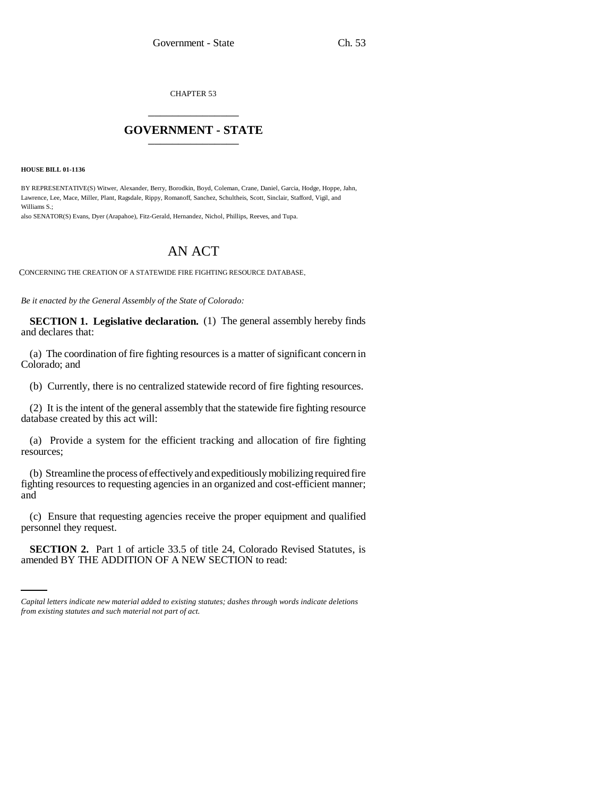CHAPTER 53 \_\_\_\_\_\_\_\_\_\_\_\_\_\_\_

## **GOVERNMENT - STATE** \_\_\_\_\_\_\_\_\_\_\_\_\_\_\_

## **HOUSE BILL 01-1136**

BY REPRESENTATIVE(S) Witwer, Alexander, Berry, Borodkin, Boyd, Coleman, Crane, Daniel, Garcia, Hodge, Hoppe, Jahn, Lawrence, Lee, Mace, Miller, Plant, Ragsdale, Rippy, Romanoff, Sanchez, Schultheis, Scott, Sinclair, Stafford, Vigil, and Williams S.;

also SENATOR(S) Evans, Dyer (Arapahoe), Fitz-Gerald, Hernandez, Nichol, Phillips, Reeves, and Tupa.

## AN ACT

CONCERNING THE CREATION OF A STATEWIDE FIRE FIGHTING RESOURCE DATABASE.

*Be it enacted by the General Assembly of the State of Colorado:*

**SECTION 1. Legislative declaration.** (1) The general assembly hereby finds and declares that:

(a) The coordination of fire fighting resources is a matter of significant concern in Colorado; and

(b) Currently, there is no centralized statewide record of fire fighting resources.

(2) It is the intent of the general assembly that the statewide fire fighting resource database created by this act will:

(a) Provide a system for the efficient tracking and allocation of fire fighting resources;

(b) Streamline the process of effectively and expeditiously mobilizing required fire fighting resources to requesting agencies in an organized and cost-efficient manner; and

 $\mathbf{r}$ (c) Ensure that requesting agencies receive the proper equipment and qualified personnel they request.

**SECTION 2.** Part 1 of article 33.5 of title 24, Colorado Revised Statutes, is amended BY THE ADDITION OF A NEW SECTION to read:

*Capital letters indicate new material added to existing statutes; dashes through words indicate deletions from existing statutes and such material not part of act.*